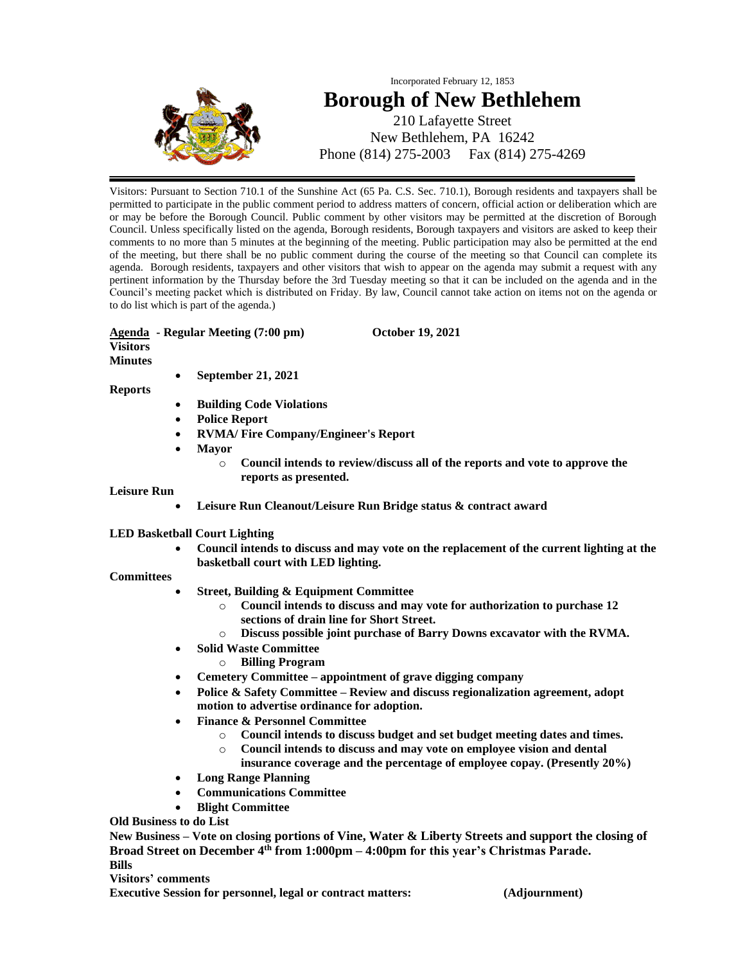

## Incorporated February 12, 1853 **Borough of New Bethlehem** 210 Lafayette Street

New Bethlehem, PA 16242 Phone (814) 275-2003 Fax (814) 275-4269

Visitors: Pursuant to Section 710.1 of the Sunshine Act (65 Pa. C.S. Sec. 710.1), Borough residents and taxpayers shall be permitted to participate in the public comment period to address matters of concern, official action or deliberation which are or may be before the Borough Council. Public comment by other visitors may be permitted at the discretion of Borough Council. Unless specifically listed on the agenda, Borough residents, Borough taxpayers and visitors are asked to keep their comments to no more than 5 minutes at the beginning of the meeting. Public participation may also be permitted at the end of the meeting, but there shall be no public comment during the course of the meeting so that Council can complete its agenda. Borough residents, taxpayers and other visitors that wish to appear on the agenda may submit a request with any pertinent information by the Thursday before the 3rd Tuesday meeting so that it can be included on the agenda and in the Council's meeting packet which is distributed on Friday. By law, Council cannot take action on items not on the agenda or to do list which is part of the agenda.)

#### **Agenda - Regular Meeting (7:00 pm) October 19, 2021 Visitors**

**Minutes** 

• **September 21, 2021**

**Reports**

- **Building Code Violations**
- **Police Report**
- **RVMA/ Fire Company/Engineer's Report**
- **Mayor**
	- o **Council intends to review/discuss all of the reports and vote to approve the reports as presented.**

#### **Leisure Run**

• **Leisure Run Cleanout/Leisure Run Bridge status & contract award**

#### **LED Basketball Court Lighting**

• **Council intends to discuss and may vote on the replacement of the current lighting at the basketball court with LED lighting.**

#### **Committees**

- **Street, Building & Equipment Committee**
	- o **Council intends to discuss and may vote for authorization to purchase 12 sections of drain line for Short Street.**
	- o **Discuss possible joint purchase of Barry Downs excavator with the RVMA.**
- **Solid Waste Committee**
	- o **Billing Program**
- **Cemetery Committee – appointment of grave digging company**
- **Police & Safety Committee – Review and discuss regionalization agreement, adopt motion to advertise ordinance for adoption.**
- **Finance & Personnel Committee**
	- o **Council intends to discuss budget and set budget meeting dates and times.**
	- o **Council intends to discuss and may vote on employee vision and dental**
	- **insurance coverage and the percentage of employee copay. (Presently 20%)**
	- **Long Range Planning**
- **Communications Committee**
- **Blight Committee**

**Old Business to do List**

**New Business – Vote on closing portions of Vine, Water & Liberty Streets and support the closing of Broad Street on December 4th from 1:000pm – 4:00pm for this year's Christmas Parade. Bills**

#### **Visitors' comments**

**Executive Session for personnel, legal or contract matters: (Adjournment)**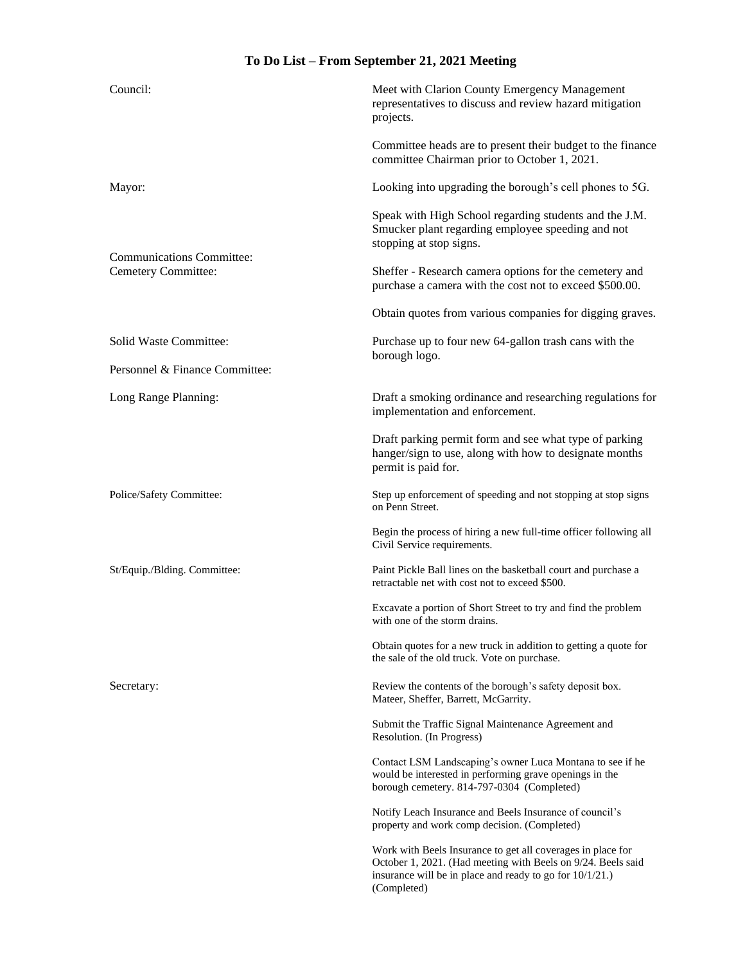### **To Do List – From September 21, 2021 Meeting**

| Council:                                                | Meet with Clarion County Emergency Management<br>representatives to discuss and review hazard mitigation<br>projects.                                                                                     |
|---------------------------------------------------------|-----------------------------------------------------------------------------------------------------------------------------------------------------------------------------------------------------------|
|                                                         | Committee heads are to present their budget to the finance<br>committee Chairman prior to October 1, 2021.                                                                                                |
| Mayor:                                                  | Looking into upgrading the borough's cell phones to 5G.                                                                                                                                                   |
| <b>Communications Committee:</b><br>Cemetery Committee: | Speak with High School regarding students and the J.M.<br>Smucker plant regarding employee speeding and not<br>stopping at stop signs.                                                                    |
|                                                         | Sheffer - Research camera options for the cemetery and<br>purchase a camera with the cost not to exceed \$500.00.                                                                                         |
|                                                         | Obtain quotes from various companies for digging graves.                                                                                                                                                  |
| Solid Waste Committee:                                  | Purchase up to four new 64-gallon trash cans with the<br>borough logo.                                                                                                                                    |
| Personnel & Finance Committee:                          |                                                                                                                                                                                                           |
| Long Range Planning:                                    | Draft a smoking ordinance and researching regulations for<br>implementation and enforcement.                                                                                                              |
|                                                         | Draft parking permit form and see what type of parking<br>hanger/sign to use, along with how to designate months<br>permit is paid for.                                                                   |
| Police/Safety Committee:                                | Step up enforcement of speeding and not stopping at stop signs<br>on Penn Street.                                                                                                                         |
|                                                         | Begin the process of hiring a new full-time officer following all<br>Civil Service requirements.                                                                                                          |
| St/Equip./Blding. Committee:                            | Paint Pickle Ball lines on the basketball court and purchase a<br>retractable net with cost not to exceed \$500.                                                                                          |
|                                                         | Excavate a portion of Short Street to try and find the problem<br>with one of the storm drains.                                                                                                           |
|                                                         | Obtain quotes for a new truck in addition to getting a quote for<br>the sale of the old truck. Vote on purchase.                                                                                          |
| Secretary:                                              | Review the contents of the borough's safety deposit box.<br>Mateer, Sheffer, Barrett, McGarrity.                                                                                                          |
|                                                         | Submit the Traffic Signal Maintenance Agreement and<br>Resolution. (In Progress)                                                                                                                          |
|                                                         | Contact LSM Landscaping's owner Luca Montana to see if he<br>would be interested in performing grave openings in the<br>borough cemetery. 814-797-0304 (Completed)                                        |
|                                                         | Notify Leach Insurance and Beels Insurance of council's<br>property and work comp decision. (Completed)                                                                                                   |
|                                                         | Work with Beels Insurance to get all coverages in place for<br>October 1, 2021. (Had meeting with Beels on 9/24. Beels said<br>insurance will be in place and ready to go for $10/1/21$ .)<br>(Completed) |